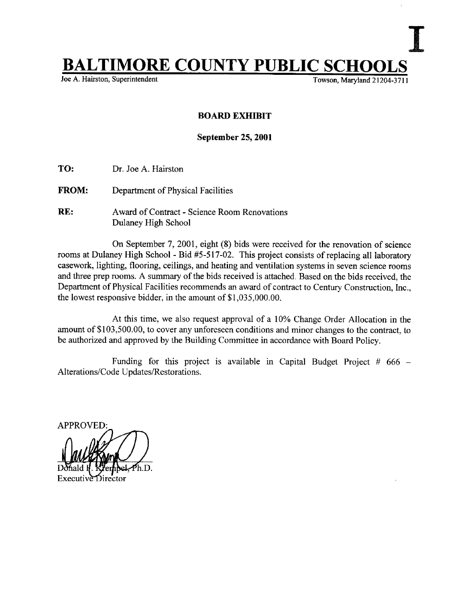## **BALTIMORE COUNTY PUBLIC SCHOOLS**<br>Joe A. Hairston, Superintendent

Joe A. Hairston, Superintendent

## BOARD EXHIBIT

September 25, 2001

- TO: Dr. Joe A. Hairston
- FROM: Department of Physical Facilities
- RE: Award of Contract Science Room Renovations Dulaney High School

On September 7, 2001, eight (8) bids were received for the renovation of science rooms at Dulaney High School - Bid #5-517-02. This project consists of replacing all laboratory casework, lighting, flooring, ceilings, and heating and ventilation systems in seven science rooms and three prep rooms. A summary of the bids received is attached. Based on the bids received, the Department of Physical Facilities recommends an award of contract to Century Construction, Inc., the lowest responsive bidder, in the amount of \$1,035,000.00.

At this time, we also request approval of <sup>a</sup> 10% Change Order Allocation in the amount of \$103,500.00, to cover any unforeseen conditions and minor changes to the contract, to be authorized and approved by the Building Committee in accordance with Board Policy.

Funding for this project is available in Capital Budget Project #  $666 -$ Alterations/Code Updates/Restorations.

**APPROVED** h.D.

Executi